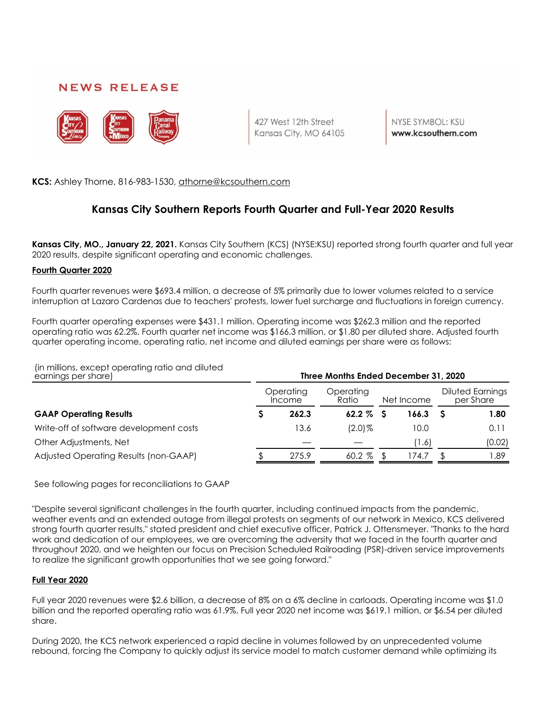## **NEWS RELEASE**



427 West 12th Street Kansas City, MO 64105 NYSE SYMBOL: KSU www.kcsouthern.com

**KCS:** Ashley Thorne, 816-983-1530, athorne@kcsouthern.com

# **Kansas City Southern Reports Fourth Quarter and Full-Year 2020 Results**

**Kansas City, MO., January 22, 2021.** Kansas City Southern (KCS) (NYSE:KSU) reported strong fourth quarter and full year 2020 results, despite significant operating and economic challenges.

### **Fourth Quarter 2020**

Fourth quarter revenues were \$693.4 million, a decrease of 5% primarily due to lower volumes related to a service interruption at Lazaro Cardenas due to teachers' protests, lower fuel surcharge and fluctuations in foreign currency.

Fourth quarter operating expenses were \$431.1 million. Operating income was \$262.3 million and the reported operating ratio was 62.2%. Fourth quarter net income was \$166.3 million, or \$1.80 per diluted share. Adjusted fourth quarter operating income, operating ratio, net income and diluted earnings per share were as follows:

(in millions, except operating ratio and diluted

| earnings per share)                     | Three Months Ended December 31, 2020 |                     |                    |            |       |                               |        |  |  |  |  |
|-----------------------------------------|--------------------------------------|---------------------|--------------------|------------|-------|-------------------------------|--------|--|--|--|--|
|                                         |                                      | Operating<br>Income | Operating<br>Ratio | Net Income |       | Diluted Earnings<br>per Share |        |  |  |  |  |
| <b>GAAP Operating Results</b>           |                                      | 262.3               | $62.2\%$ \$        |            | 166.3 |                               | 1.80   |  |  |  |  |
| Write-off of software development costs |                                      | 13.6                | $(2.0)$ %          |            | 10.0  |                               | 0.11   |  |  |  |  |
| Other Adjustments, Net                  |                                      |                     |                    |            | (1.6) |                               | (0.02) |  |  |  |  |
| Adjusted Operating Results (non-GAAP)   |                                      | 275.9               | 60.2~%             |            | 174.7 |                               | 89. ا  |  |  |  |  |

See following pages for reconciliations to GAAP

"Despite several significant challenges in the fourth quarter, including continued impacts from the pandemic, weather events and an extended outage from illegal protests on segments of our network in Mexico, KCS delivered strong fourth quarter results," stated president and chief executive officer, Patrick J. Ottensmeyer. "Thanks to the hard work and dedication of our employees, we are overcoming the adversity that we faced in the fourth quarter and throughout 2020, and we heighten our focus on Precision Scheduled Railroading (PSR)-driven service improvements to realize the significant growth opportunities that we see going forward."

### **Full Year 2020**

Full year 2020 revenues were \$2.6 billion, a decrease of 8% on a 6% decline in carloads. Operating income was \$1.0 billion and the reported operating ratio was 61.9%. Full year 2020 net income was \$619.1 million, or \$6.54 per diluted share.

During 2020, the KCS network experienced a rapid decline in volumes followed by an unprecedented volume rebound, forcing the Company to quickly adjust its service model to match customer demand while optimizing its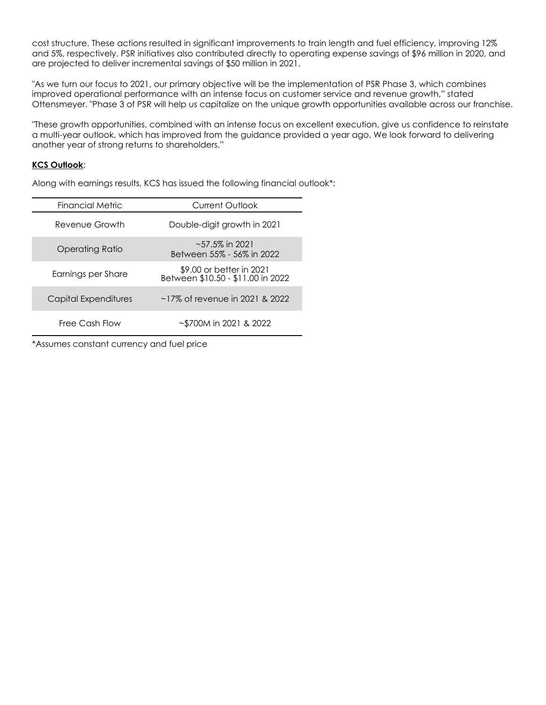cost structure. These actions resulted in significant improvements to train length and fuel efficiency, improving 12% and 5%, respectively. PSR initiatives also contributed directly to operating expense savings of \$96 million in 2020, and are projected to deliver incremental savings of \$50 million in 2021.

"As we turn our focus to 2021, our primary objective will be the implementation of PSR Phase 3, which combines improved operational performance with an intense focus on customer service and revenue growth," stated Ottensmeyer. "Phase 3 of PSR will help us capitalize on the unique growth opportunities available across our franchise.

"These growth opportunities, combined with an intense focus on excellent execution, give us confidence to reinstate a multi-year outlook, which has improved from the guidance provided a year ago. We look forward to delivering another year of strong returns to shareholders."

### **KCS Outlook**:

Along with earnings results, KCS has issued the following financial outlook\*:

| <b>Financial Metric</b> | Current Outlook                                               |  |  |  |  |  |  |  |
|-------------------------|---------------------------------------------------------------|--|--|--|--|--|--|--|
| Revenue Growth          | Double-digit growth in 2021                                   |  |  |  |  |  |  |  |
| Operating Ratio         | $\sim$ 57.5% in 2021<br>Between 55% - 56% in 2022             |  |  |  |  |  |  |  |
| Earnings per Share      | \$9.00 or better in 2021<br>Between \$10.50 - \$11.00 in 2022 |  |  |  |  |  |  |  |
| Capital Expenditures    | $\sim$ 17% of revenue in 2021 & 2022                          |  |  |  |  |  |  |  |
| Free Cash Flow          | $\sim$ \$700M in 2021 & 2022                                  |  |  |  |  |  |  |  |

\*Assumes constant currency and fuel price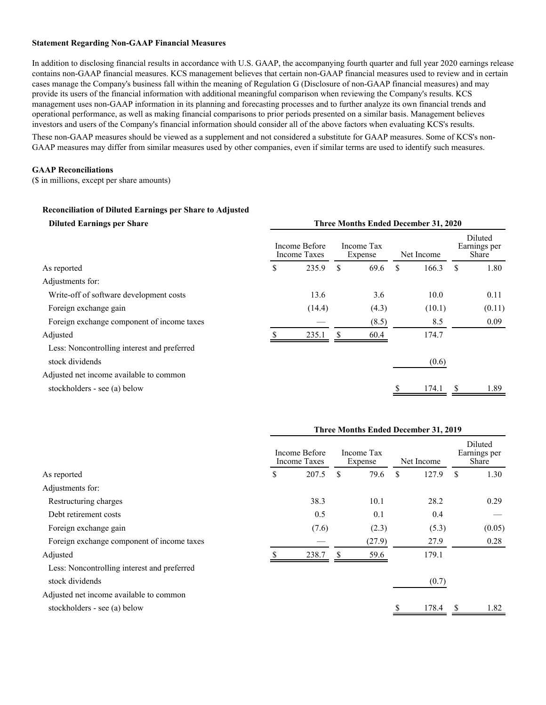### **Statement Regarding Non-GAAP Financial Measures**

In addition to disclosing financial results in accordance with U.S. GAAP, the accompanying fourth quarter and full year 2020 earnings release contains non-GAAP financial measures. KCS management believes that certain non-GAAP financial measures used to review and in certain cases manage the Company's business fall within the meaning of Regulation G (Disclosure of non-GAAP financial measures) and may provide its users of the financial information with additional meaningful comparison when reviewing the Company's results. KCS management uses non-GAAP information in its planning and forecasting processes and to further analyze its own financial trends and operational performance, as well as making financial comparisons to prior periods presented on a similar basis. Management believes investors and users of the Company's financial information should consider all of the above factors when evaluating KCS's results.

These non-GAAP measures should be viewed as a supplement and not considered a substitute for GAAP measures. Some of KCS's non-GAAP measures may differ from similar measures used by other companies, even if similar terms are used to identify such measures.

#### **GAAP Reconciliations**

(\$ in millions, except per share amounts)

### **Reconciliation of Diluted Earnings per Share to Adjusted**

| <b>Diluted Earnings per Share</b>           | Three Months Ended December 31, 2020 |        |    |                       |   |            |   |                                  |  |  |
|---------------------------------------------|--------------------------------------|--------|----|-----------------------|---|------------|---|----------------------------------|--|--|
|                                             | Income Before<br><b>Income Taxes</b> |        |    | Income Tax<br>Expense |   | Net Income |   | Diluted<br>Earnings per<br>Share |  |  |
| As reported                                 | S                                    | 235.9  | \$ | 69.6                  | S | 166.3      | S | 1.80                             |  |  |
| Adjustments for:                            |                                      |        |    |                       |   |            |   |                                  |  |  |
| Write-off of software development costs     |                                      | 13.6   |    | 3.6                   |   | 10.0       |   | 0.11                             |  |  |
| Foreign exchange gain                       |                                      | (14.4) |    | (4.3)                 |   | (10.1)     |   | (0.11)                           |  |  |
| Foreign exchange component of income taxes  |                                      |        |    | (8.5)                 |   | 8.5        |   | 0.09                             |  |  |
| Adjusted                                    |                                      | 235.1  |    | 60.4                  |   | 174.7      |   |                                  |  |  |
| Less: Noncontrolling interest and preferred |                                      |        |    |                       |   |            |   |                                  |  |  |
| stock dividends                             |                                      |        |    |                       |   | (0.6)      |   |                                  |  |  |
| Adjusted net income available to common     |                                      |        |    |                       |   |            |   |                                  |  |  |
| stockholders - see (a) below                |                                      |        |    |                       |   | 174.1      | S | 1.89                             |  |  |

|                                             | Three Months Ended December 31, 2019 |                                      |                       |        |   |            |                                         |        |
|---------------------------------------------|--------------------------------------|--------------------------------------|-----------------------|--------|---|------------|-----------------------------------------|--------|
|                                             |                                      | Income Before<br><b>Income Taxes</b> | Income Tax<br>Expense |        |   | Net Income | Diluted<br>Earnings per<br><b>Share</b> |        |
| As reported                                 | \$                                   | 207.5                                | S                     | 79.6   | S | 127.9      | \$.                                     | 1.30   |
| Adjustments for:                            |                                      |                                      |                       |        |   |            |                                         |        |
| Restructuring charges                       |                                      | 38.3                                 |                       | 10.1   |   | 28.2       |                                         | 0.29   |
| Debt retirement costs                       |                                      | 0.5                                  |                       | 0.1    |   | 0.4        |                                         |        |
| Foreign exchange gain                       |                                      | (7.6)                                |                       | (2.3)  |   | (5.3)      |                                         | (0.05) |
| Foreign exchange component of income taxes  |                                      |                                      |                       | (27.9) |   | 27.9       |                                         | 0.28   |
| Adjusted                                    |                                      | 238.7                                | S.                    | 59.6   |   | 179.1      |                                         |        |
| Less: Noncontrolling interest and preferred |                                      |                                      |                       |        |   |            |                                         |        |
| stock dividends                             |                                      |                                      |                       |        |   | (0.7)      |                                         |        |
| Adjusted net income available to common     |                                      |                                      |                       |        |   |            |                                         |        |
| stockholders - see (a) below                |                                      |                                      |                       |        |   | 178.4      |                                         | 1.82   |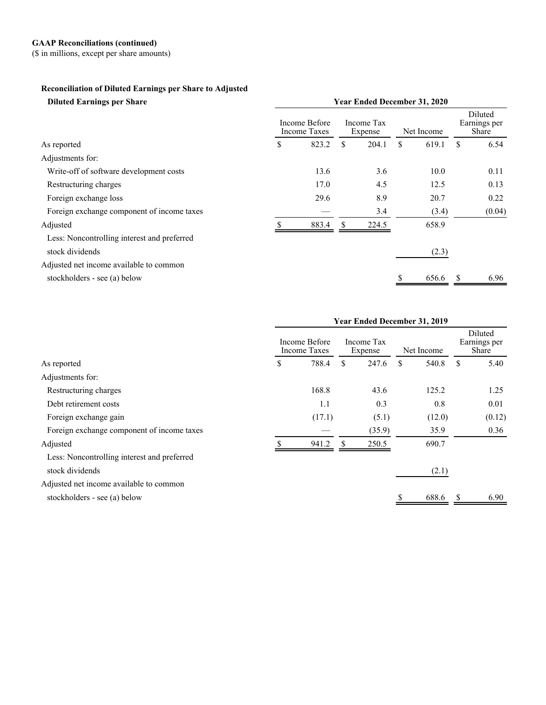## **GAAP Reconciliations (continued)**

(\$ in millions, except per share amounts)

## **Reconciliation of Diluted Earnings per Share to Adjusted**

| <b>Diluted Earnings per Share</b>           | <b>Year Ended December 31, 2020</b>  |                       |    |            |   |                                  |     |        |  |  |
|---------------------------------------------|--------------------------------------|-----------------------|----|------------|---|----------------------------------|-----|--------|--|--|
|                                             | Income Before<br><b>Income Taxes</b> | Income Tax<br>Expense |    | Net Income |   | Diluted<br>Earnings per<br>Share |     |        |  |  |
| As reported                                 | \$                                   | 823.2                 | S. | 204.1      | S | 619.1                            | \$. | 6.54   |  |  |
| Adjustments for:                            |                                      |                       |    |            |   |                                  |     |        |  |  |
| Write-off of software development costs     |                                      | 13.6                  |    | 3.6        |   | 10.0                             |     | 0.11   |  |  |
| Restructuring charges                       |                                      | 17.0                  |    | 4.5        |   | 12.5                             |     | 0.13   |  |  |
| Foreign exchange loss                       |                                      | 29.6                  |    | 8.9        |   | 20.7                             |     | 0.22   |  |  |
| Foreign exchange component of income taxes  |                                      |                       |    | 3.4        |   | (3.4)                            |     | (0.04) |  |  |
| Adjusted                                    |                                      | 883.4                 | S  | 224.5      |   | 658.9                            |     |        |  |  |
| Less: Noncontrolling interest and preferred |                                      |                       |    |            |   |                                  |     |        |  |  |
| stock dividends                             |                                      |                       |    |            |   | (2.3)                            |     |        |  |  |
| Adjusted net income available to common     |                                      |                       |    |            |   |                                  |     |        |  |  |
| stockholders - see (a) below                |                                      |                       |    |            |   | 656.6                            |     | 6.96   |  |  |
|                                             |                                      |                       |    |            |   |                                  |     |        |  |  |

|                                             |                                      |        | <b>Year Ended December 31, 2019</b> |                       |    |            |                                  |        |
|---------------------------------------------|--------------------------------------|--------|-------------------------------------|-----------------------|----|------------|----------------------------------|--------|
|                                             | Income Before<br><b>Income Taxes</b> |        |                                     | Income Tax<br>Expense |    | Net Income | Diluted<br>Earnings per<br>Share |        |
| As reported                                 | \$                                   | 788.4  | \$                                  | 247.6                 | \$ | 540.8      | -S                               | 5.40   |
| Adjustments for:                            |                                      |        |                                     |                       |    |            |                                  |        |
| Restructuring charges                       |                                      | 168.8  |                                     | 43.6                  |    | 125.2      |                                  | 1.25   |
| Debt retirement costs                       |                                      | 1.1    |                                     | 0.3                   |    | 0.8        |                                  | 0.01   |
| Foreign exchange gain                       |                                      | (17.1) |                                     | (5.1)                 |    | (12.0)     |                                  | (0.12) |
| Foreign exchange component of income taxes  |                                      |        |                                     | (35.9)                |    | 35.9       |                                  | 0.36   |
| Adjusted                                    |                                      | 941.2  | S                                   | 250.5                 |    | 690.7      |                                  |        |
| Less: Noncontrolling interest and preferred |                                      |        |                                     |                       |    |            |                                  |        |
| stock dividends                             |                                      |        |                                     |                       |    | (2.1)      |                                  |        |
| Adjusted net income available to common     |                                      |        |                                     |                       |    |            |                                  |        |
| stockholders - see (a) below                |                                      |        |                                     |                       |    | 688.6      |                                  | 6.90   |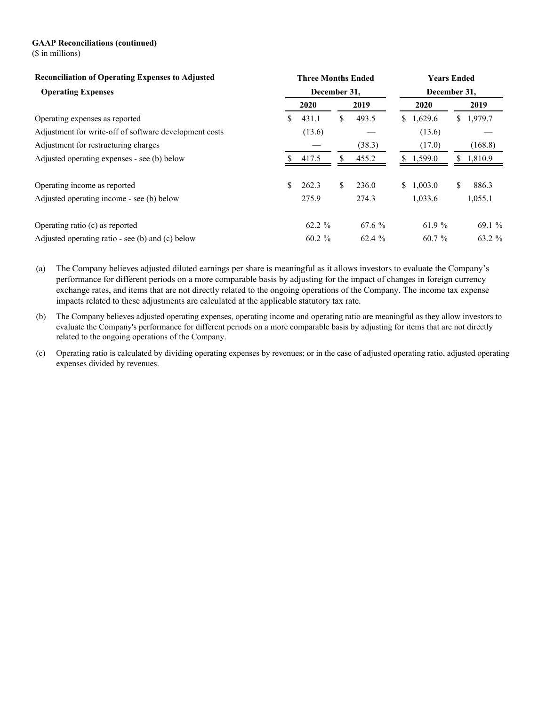**GAAP Reconciliations (continued)** (\$ in millions)

| <b>Reconciliation of Operating Expenses to Adjusted</b> |    | <b>Three Months Ended</b> |              | <b>Years Ended</b> |                |         |    |           |
|---------------------------------------------------------|----|---------------------------|--------------|--------------------|----------------|---------|----|-----------|
| <b>Operating Expenses</b>                               |    | December 31,              | December 31, |                    |                |         |    |           |
|                                                         |    | 2020                      |              | 2019               |                | 2020    |    | 2019      |
| Operating expenses as reported                          | S. | 431.1                     | S.           | 493.5              | S.             | 1,629.6 |    | \$1,979.7 |
| Adjustment for write-off of software development costs  |    | (13.6)                    |              |                    |                | (13.6)  |    |           |
| Adjustment for restructuring charges                    |    |                           |              | (38.3)             |                | (17.0)  |    | (168.8)   |
| Adjusted operating expenses - see (b) below             |    | 417.5                     | S.           | 455.2              | S.             | 1,599.0 |    | \$1,810.9 |
| Operating income as reported                            | S. | 262.3                     | \$           | 236.0              | $\mathbb{S}^-$ | 1,003.0 | \$ | 886.3     |
| Adjusted operating income - see (b) below               |    | 275.9                     |              | 274.3              |                | 1,033.6 |    | 1,055.1   |
| Operating ratio (c) as reported                         |    | 62.2 %                    |              | 67.6 %             |                | 61.9 %  |    | 69.1 $%$  |
| Adjusted operating ratio - see (b) and (c) below        |    | $60.2 \%$                 |              | 62.4 %             |                | 60.7 %  |    | 63.2 %    |

(a) The Company believes adjusted diluted earnings per share is meaningful as it allows investors to evaluate the Company's performance for different periods on a more comparable basis by adjusting for the impact of changes in foreign currency exchange rates, and items that are not directly related to the ongoing operations of the Company. The income tax expense impacts related to these adjustments are calculated at the applicable statutory tax rate.

(b) The Company believes adjusted operating expenses, operating income and operating ratio are meaningful as they allow investors to evaluate the Company's performance for different periods on a more comparable basis by adjusting for items that are not directly related to the ongoing operations of the Company.

(c) Operating ratio is calculated by dividing operating expenses by revenues; or in the case of adjusted operating ratio, adjusted operating expenses divided by revenues.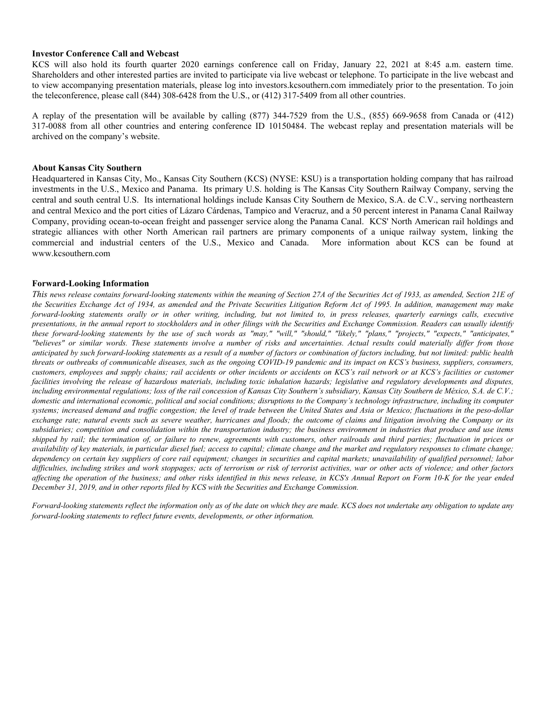#### **Investor Conference Call and Webcast**

KCS will also hold its fourth quarter 2020 earnings conference call on Friday, January 22, 2021 at 8:45 a.m. eastern time. Shareholders and other interested parties are invited to participate via live webcast or telephone. To participate in the live webcast and to view accompanying presentation materials, please log into investors.kcsouthern.com immediately prior to the presentation. To join the teleconference, please call (844) 308-6428 from the U.S., or (412) 317-5409 from all other countries.

A replay of the presentation will be available by calling (877) 344-7529 from the U.S., (855) 669-9658 from Canada or (412) 317-0088 from all other countries and entering conference ID 10150484. The webcast replay and presentation materials will be archived on the company's website.

#### **About Kansas City Southern**

Headquartered in Kansas City, Mo., Kansas City Southern (KCS) (NYSE: KSU) is a transportation holding company that has railroad investments in the U.S., Mexico and Panama. Its primary U.S. holding is The Kansas City Southern Railway Company, serving the central and south central U.S. Its international holdings include Kansas City Southern de Mexico, S.A. de C.V., serving northeastern and central Mexico and the port cities of Lázaro Cárdenas, Tampico and Veracruz, and a 50 percent interest in Panama Canal Railway Company, providing ocean-to-ocean freight and passenger service along the Panama Canal. KCS' North American rail holdings and strategic alliances with other North American rail partners are primary components of a unique railway system, linking the commercial and industrial centers of the U.S., Mexico and Canada. More information about KCS can be found at www.kcsouthern.com

#### **Forward-Looking Information**

*This news release contains forward-looking statements within the meaning of Section 27A of the Securities Act of 1933, as amended, Section 21E of the Securities Exchange Act of 1934, as amended and the Private Securities Litigation Reform Act of 1995. In addition, management may make forward-looking statements orally or in other writing, including, but not limited to, in press releases, quarterly earnings calls, executive presentations, in the annual report to stockholders and in other filings with the Securities and Exchange Commission. Readers can usually identify these forward-looking statements by the use of such words as "may," "will," "should," "likely," "plans," "projects," "expects," "anticipates," "believes" or similar words. These statements involve a number of risks and uncertainties. Actual results could materially differ from those anticipated by such forward-looking statements as a result of a number of factors or combination of factors including, but not limited: public health threats or outbreaks of communicable diseases, such as the ongoing COVID-19 pandemic and its impact on KCS's business, suppliers, consumers, customers, employees and supply chains; rail accidents or other incidents or accidents on KCS's rail network or at KCS's facilities or customer*  facilities involving the release of hazardous materials, including toxic inhalation hazards; legislative and regulatory developments and disputes, *including environmental regulations; loss of the rail concession of Kansas City Southern's subsidiary, Kansas City Southern de México, S.A. de C.V.; domestic and international economic, political and social conditions; disruptions to the Company's technology infrastructure, including its computer systems; increased demand and traffic congestion; the level of trade between the United States and Asia or Mexico; fluctuations in the peso-dollar exchange rate; natural events such as severe weather, hurricanes and floods; the outcome of claims and litigation involving the Company or its subsidiaries; competition and consolidation within the transportation industry; the business environment in industries that produce and use items shipped by rail; the termination of, or failure to renew, agreements with customers, other railroads and third parties; fluctuation in prices or availability of key materials, in particular diesel fuel; access to capital; climate change and the market and regulatory responses to climate change; dependency on certain key suppliers of core rail equipment; changes in securities and capital markets; unavailability of qualified personnel; labor difficulties, including strikes and work stoppages; acts of terrorism or risk of terrorist activities, war or other acts of violence; and other factors affecting the operation of the business; and other risks identified in this news release, in KCS's Annual Report on Form 10-K for the year ended December 31, 2019, and in other reports filed by KCS with the Securities and Exchange Commission.*

*Forward-looking statements reflect the information only as of the date on which they are made. KCS does not undertake any obligation to update any forward-looking statements to reflect future events, developments, or other information.*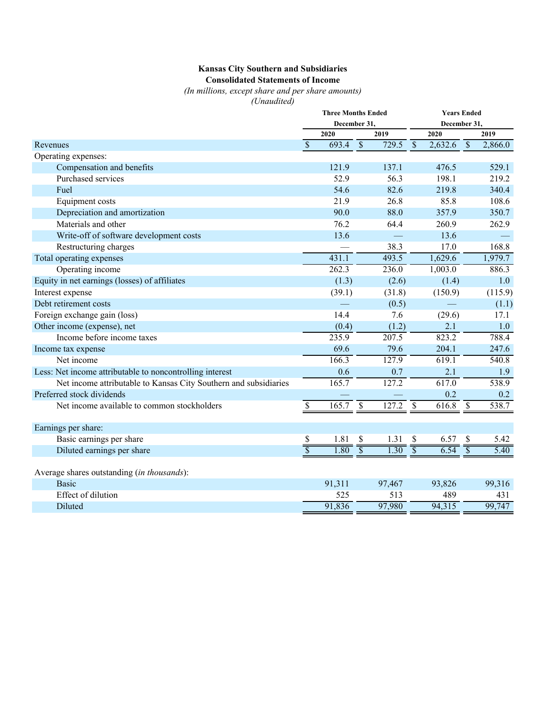### **Kansas City Southern and Subsidiaries Consolidated Statements of Income**

*(In millions, except share and per share amounts) (Unaudited)*

|                                                                  | <b>Three Months Ended</b> |              |                          |        |                          | <b>Years Ended</b> |                          |         |  |
|------------------------------------------------------------------|---------------------------|--------------|--------------------------|--------|--------------------------|--------------------|--------------------------|---------|--|
|                                                                  |                           | December 31, |                          |        |                          | December 31.       |                          |         |  |
|                                                                  |                           | 2020         |                          | 2019   |                          | 2020               |                          | 2019    |  |
| Revenues                                                         | $\overline{\mathcal{S}}$  | 693.4        | $\overline{\mathcal{S}}$ | 729.5  | $\overline{\mathcal{S}}$ | 2,632.6            | $\overline{\mathcal{S}}$ | 2,866.0 |  |
| Operating expenses:                                              |                           |              |                          |        |                          |                    |                          |         |  |
| Compensation and benefits                                        |                           | 121.9        |                          | 137.1  |                          | 476.5              |                          | 529.1   |  |
| Purchased services                                               |                           | 52.9         |                          | 56.3   |                          | 198.1              |                          | 219.2   |  |
| Fuel                                                             |                           | 54.6         |                          | 82.6   |                          | 219.8              |                          | 340.4   |  |
| Equipment costs                                                  |                           | 21.9         |                          | 26.8   |                          | 85.8               |                          | 108.6   |  |
| Depreciation and amortization                                    |                           | 90.0         |                          | 88.0   |                          | 357.9              |                          | 350.7   |  |
| Materials and other                                              |                           | 76.2         |                          | 64.4   |                          | 260.9              |                          | 262.9   |  |
| Write-off of software development costs                          |                           | 13.6         |                          |        |                          | 13.6               |                          |         |  |
| Restructuring charges                                            |                           |              |                          | 38.3   |                          | 17.0               |                          | 168.8   |  |
| Total operating expenses                                         |                           | 431.1        |                          | 493.5  |                          | 1,629.6            |                          | 1,979.7 |  |
| Operating income                                                 |                           | 262.3        |                          | 236.0  |                          | 1,003.0            |                          | 886.3   |  |
| Equity in net earnings (losses) of affiliates                    |                           | (1.3)        |                          | (2.6)  |                          | (1.4)              |                          | 1.0     |  |
| Interest expense                                                 |                           | (39.1)       |                          | (31.8) |                          | (150.9)            |                          | (115.9) |  |
| Debt retirement costs                                            |                           |              |                          | (0.5)  |                          |                    |                          | (1.1)   |  |
| Foreign exchange gain (loss)                                     |                           | 14.4         |                          | 7.6    |                          | (29.6)             |                          | 17.1    |  |
| Other income (expense), net                                      |                           | (0.4)        |                          | (1.2)  |                          | 2.1                |                          | 1.0     |  |
| Income before income taxes                                       |                           | 235.9        |                          | 207.5  |                          | 823.2              |                          | 788.4   |  |
| Income tax expense                                               |                           | 69.6         |                          | 79.6   |                          | 204.1              |                          | 247.6   |  |
| Net income                                                       |                           | 166.3        |                          | 127.9  |                          | 619.1              |                          | 540.8   |  |
| Less: Net income attributable to noncontrolling interest         |                           | 0.6          |                          | 0.7    |                          | 2.1                |                          | 1.9     |  |
| Net income attributable to Kansas City Southern and subsidiaries |                           | 165.7        |                          | 127.2  |                          | 617.0              |                          | 538.9   |  |
| Preferred stock dividends                                        |                           |              |                          |        |                          | 0.2                |                          | 0.2     |  |
| Net income available to common stockholders                      | $\overline{\mathcal{S}}$  | 165.7        | $\overline{\mathcal{S}}$ | 127.2  | $\overline{\mathcal{S}}$ | 616.8              | $\overline{\mathcal{S}}$ | 538.7   |  |
| Earnings per share:                                              |                           |              |                          |        |                          |                    |                          |         |  |
| Basic earnings per share                                         | $rac{S}{S}$               | 1.81         | \$                       | 1.31   | \$                       | 6.57               | \$                       | 5.42    |  |
| Diluted earnings per share                                       |                           | 1.80         | $\overline{\mathcal{S}}$ | 1.30   | $\overline{\mathcal{S}}$ | 6.54               | $\overline{\mathcal{S}}$ | 5.40    |  |
| Average shares outstanding (in thousands):                       |                           |              |                          |        |                          |                    |                          |         |  |
| <b>Basic</b>                                                     |                           | 91,311       |                          | 97,467 |                          | 93,826             |                          | 99,316  |  |
| Effect of dilution                                               |                           | 525          |                          | 513    |                          | 489                |                          | 431     |  |
| Diluted                                                          |                           | 91,836       |                          | 97,980 |                          | 94,315             |                          | 99,747  |  |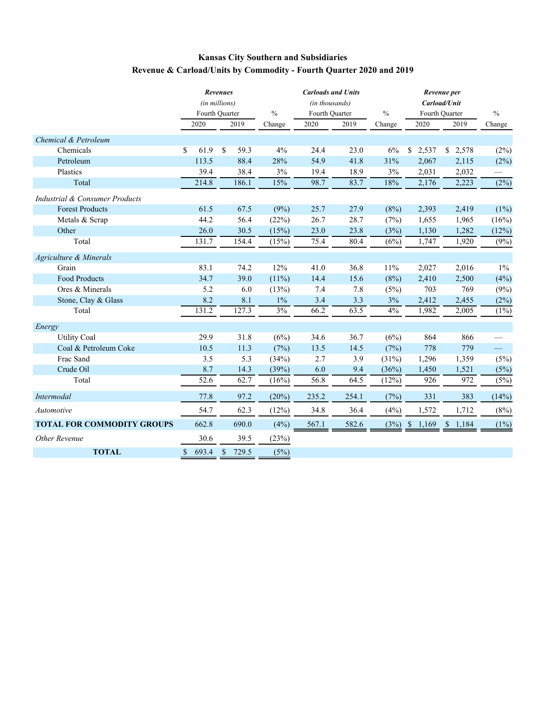# **Kansas City Southern and Subsidiaries Revenue & Carload/Units by Commodity - Fourth Quarter 2020 and 2019**

|                                           |                       | <b>Revenues</b><br>(in millions) |               | <b>Carloads and Units</b><br>(in thousands) |       |               | Revenue per<br>Carload/Unit |                     |                          |
|-------------------------------------------|-----------------------|----------------------------------|---------------|---------------------------------------------|-------|---------------|-----------------------------|---------------------|--------------------------|
|                                           |                       | Fourth Quarter                   | $\frac{0}{0}$ | Fourth Quarter                              |       | $\frac{0}{0}$ |                             | Fourth Quarter      | $\frac{0}{0}$            |
|                                           | 2020                  | 2019                             | Change        | 2020                                        | 2019  | Change        | 2020                        | 2019                | Change                   |
| Chemical & Petroleum                      |                       |                                  |               |                                             |       |               |                             |                     |                          |
| Chemicals                                 | \$.<br>61.9           | <sup>\$</sup><br>59.3            | 4%            | 24.4                                        | 23.0  | 6%            | \$<br>2,537                 | \$<br>2,578         | (2%)                     |
| Petroleum                                 | 113.5                 | 88.4                             | 28%           | 54.9                                        | 41.8  | 31%           | 2,067                       | 2,115               | (2%)                     |
| Plastics                                  | 39.4                  | 38.4                             | 3%            | 19.4                                        | 18.9  | 3%            | 2,031                       | 2,032               |                          |
| Total                                     | 214.8                 | 186.1                            | 15%           | 98.7                                        | 83.7  | 18%           | 2,176                       | 2,223               | (2%)                     |
| <b>Industrial &amp; Consumer Products</b> |                       |                                  |               |                                             |       |               |                             |                     |                          |
| <b>Forest Products</b>                    | 61.5                  | 67.5                             | (9%)          | 25.7                                        | 27.9  | (8%)          | 2,393                       | 2,419               | (1%)                     |
| Metals & Scrap                            | 44.2                  | 56.4                             | (22%)         | 26.7                                        | 28.7  | (7%)          | 1,655                       | 1,965               | (16%)                    |
| Other                                     | 26.0                  | 30.5                             | (15%)         | 23.0                                        | 23.8  | (3%)          | 1,130                       | 1,282               | (12%)                    |
| Total                                     | 131.7                 | 154.4                            | (15%)         | 75.4                                        | 80.4  | (6%)          | 1,747                       | 1,920               | (9%)                     |
| Agriculture & Minerals                    |                       |                                  |               |                                             |       |               |                             |                     |                          |
| Grain                                     | 83.1                  | 74.2                             | 12%           | 41.0                                        | 36.8  | 11%           | 2,027                       | 2,016               | $1\%$                    |
| <b>Food Products</b>                      | 34.7                  | 39.0                             | $(11\%)$      | 14.4                                        | 15.6  | (8%)          | 2,410                       | 2,500               | (4%)                     |
| Ores & Minerals                           | 5.2                   | 6.0                              | (13%)         | 7.4                                         | 7.8   | (5%)          | 703                         | 769                 | (9%)                     |
| Stone, Clay & Glass                       | 8.2                   | 8.1                              | $1\%$         | 3.4                                         | 3.3   | $3\%$         | 2,412                       | 2,455               | (2%)                     |
| Total                                     | 131.2                 | 127.3                            | 3%            | 66.2                                        | 63.5  | 4%            | 1,982                       | 2,005               | $(1\%)$                  |
| Energy                                    |                       |                                  |               |                                             |       |               |                             |                     |                          |
| <b>Utility Coal</b>                       | 29.9                  | 31.8                             | (6%)          | 34.6                                        | 36.7  | (6%)          | 864                         | 866                 |                          |
| Coal & Petroleum Coke                     | 10.5                  | 11.3                             | (7%)          | 13.5                                        | 14.5  | (7%)          | 778                         | 779                 | $\qquad \qquad \qquad =$ |
| Frac Sand                                 | 3.5                   | 5.3                              | (34%)         | 2.7                                         | 3.9   | (31%)         | 1,296                       | 1,359               | (5%)                     |
| Crude Oil                                 | 8.7                   | 14.3                             | (39%)         | 6.0                                         | 9.4   | (36%)         | 1,450                       | 1,521               | (5%)                     |
| Total                                     | 52.6                  | 62.7                             | (16%)         | 56.8                                        | 64.5  | (12%)         | 926                         | 972                 | (5%)                     |
| Intermodal                                | 77.8                  | 97.2                             | (20%)         | 235.2                                       | 254.1 | (7%)          | 331                         | 383                 | (14%)                    |
| Automotive                                | 54.7                  | 62.3                             | (12%)         | 34.8                                        | 36.4  | (4%)          | 1,572                       | 1,712               | (8%)                     |
| <b>TOTAL FOR COMMODITY GROUPS</b>         | 662.8                 | 690.0                            | (4%)          | 567.1                                       | 582.6 | (3%)          | $\mathbb{S}$<br>1,169       | $\sqrt{3}$<br>1,184 | (1%)                     |
| Other Revenue                             | 30.6                  | 39.5                             | (23%)         |                                             |       |               |                             |                     |                          |
| <b>TOTAL</b>                              | 693.4<br>$\mathbb{S}$ | 729.5<br>\$                      | (5%)          |                                             |       |               |                             |                     |                          |